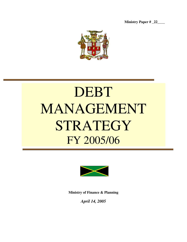**Ministry Paper # \_22\_\_\_\_**



# DEBT MANAGEMENT STRATEGY FY 2005/06



**Ministry of Finance & Planning**

*April 14, 2005*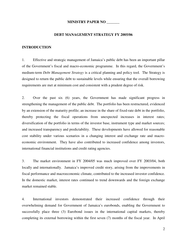# **MINISTRY PAPER NO \_\_\_\_\_\_\_**

# **DEBT MANAGEMENT STRATEGY FY 2005/06**

# **INTRODUCTION**

1. Effective and strategic management of Jamaica's public debt has been an important pillar of the Government's fiscal and macro-economic programme. In this regard, the Government's medium-term *Debt Management Strategy* is a critical planning and policy tool. The Strategy is designed to return the public debt to sustainable levels while ensuring that the overall borrowing requirements are met at minimum cost and consistent with a prudent degree of risk.

2. Over the past six (6) years, the Government has made significant progress in strengthening the management of the public debt. The portfolio has been restructured, evidenced by an extension of the maturity profile; an increase in the share of fixed-rate debt in the portfolio, thereby protecting the fiscal operations from unexpected increases in interest rates; diversification of the portfolio in terms of the investor base, instrument type and market sources; and increased transparency and predictability. These developments have allowed for reasonable cost stability under various scenarios in a changing interest and exchange rate and macroeconomic environment. They have also contributed to increased confidence among investors, international financial institutions and credit rating agencies.

3. The market environment in FY 2004/05 was much improved over FY 2003/04, both locally and internationally. Jamaica's improved credit story, arising from the improvements in fiscal performance and macroeconomic climate, contributed to the increased investor confidence. In the domestic market, interest rates continued to trend downwards and the foreign exchange market remained stable.

4. International investors demonstrated their increased confidence through their overwhelming demand for Government of Jamaica's eurobonds, enabling the Government to successfully place three (3) Eurobond issues in the international capital markets, thereby completing its external borrowing within the first seven (7) months of the fiscal year. In April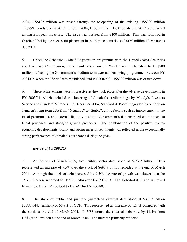2004, US\$125 million was raised through the re-opening of the existing US\$300 million 10.625% bonds due in 2017. In July 2004,  $\epsilon$ 200 million 11.0% bonds due 2012 were issued among European investors. The issue was upsized from  $\epsilon$ 100 million. This was followed in October 2004 by the successful placement in the European markets of  $\epsilon$ 150 million 10.5% bonds due 2014.

5. Under the Schedule B Shelf Registration programme with the United States Securities and Exchange Commission, the amount placed on the "Shelf" was replenished to US\$700 million, reflecting the Government's medium-term external borrowing programme. Between FY 2001/02, when the "Shelf" was established, and FY 2002/03, US\$300 million was drawn down.

6. These achievements were impressive as they took place after the adverse developments in FY 2003/04, which included the lowering of Jamaica's credit ratings by Moody's Investors Service and Standard & Poor's. In December 2004, Standard & Poor's upgraded its outlook on Jamaica's long-term debt from "Negative" to "Stable", citing factors such as improvement in the fiscal performance and external liquidity position; Government's demonstrated commitment to fiscal prudence; and stronger growth prospects. The combination of the positive macroeconomic developments locally and strong investor sentiments was reflected in the exceptionally strong performance of Jamaica's eurobonds during the year.

## *Review of FY 2004/05*

7. At the end of March 2005, total public sector debt stood at \$759.7 billion. This represented an increase of 9.5% over the stock of \$693.9 billion recorded at the end of March 2004. Although the stock of debt increased by 9.5%, the rate of growth was slower than the 15.4% increase recorded for FY 2003/04 over FY 2002/03. The Debt-to-GDP ratio improved from 140.0% for FY 2003/04 to 136.6% for FY 2004/05.

8. The stock of public and publicly guaranteed external debt stood at \$310.5 billion (US\$5,044.4 million) or 55.8% of GDP. This represented an increase of 12.4% compared with the stock at the end of March 2004. In US\$ terms, the external debt rose by 11.4% from US\$4,529.0 million at the end of March 2004. The increase primarily reflected: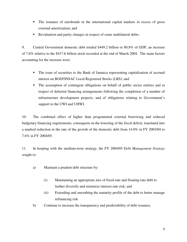- The issuance of eurobonds in the international capital markets in excess of gross external amortization; and
- Revaluation and parity changes in respect of some multilateral debts.

9. Central Government domestic debt totaled \$449.2 billion or 80.8% of GDP, an increase of 7.6% relative to the \$417.6 billion stock recorded at the end of March 2004. The main factors accounting for the increase were:

- The issue of securities to the Bank of Jamaica representing capitalization of accrued interest on BOJ/FINSAC Local Registered Stocks (LRS); and
- The assumption of contingent obligations on behalf of public sector entities and in respect of deferred financing arrangements following the completion of a number of infrastructure development projects; and of obligations relating to Government's support to the UWI and UHWI.

10. The combined effect of higher than programmed external borrowing and reduced budgetary financing requirements, consequent on the lowering of the fiscal deficit, translated into a marked reduction in the rate of the growth of the domestic debt from 14.0% in FY 2003/04 to 7.6% in FY 2004/05.

11. In keeping with the medium-term strategy, the FY 2004/05 D*ebt Management Strategy* sought to:

- a) Maintain a prudent debt structure by:
	- (i) Maintaining an appropriate mix of fixed-rate and floating-rate debt to further diversify and minimize interest-rate risk; and
	- (ii) Extending and smoothing the maturity profile of the debt to better manage refinancing risk
- b) Continue to increase the transparency and predictability of debt issuance.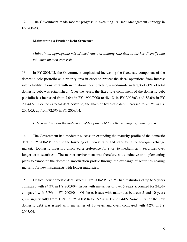12. The Government made modest progress in executing its Debt Management Strategy in FY 2004/05.

# **Maintaining a Prudent Debt Structure**

*Maintain an appropriate mix of fixed-rate and floating-rate debt to further diversify and minimize interest-rate risk*

13. In FY 2001/02, the Government emphasized increasing the fixed-rate component of the domestic debt portfolio as a priority area in order to protect the fiscal operations from interest rate volatility. Consistent with international best practice, a medium-term target of 60% of total domestic debt was established. Over the years, the fixed-rate component of the domestic debt portfolio has increased from 7.0% in FY 1999/2000 to 48.4% in FY 2002/03 and 58.6% in FY 2004/05. For the external debt portfolio, the share of fixed-rate debt increased to 76.2% in FY 2004/05, up from 72.3% in FY 2003/04.

## *Extend and smooth the maturity profile of the debt to better manage refinancing risk*

14. The Government had moderate success in extending the maturity profile of the domestic debt in FY 2004/05, despite the lowering of interest rates and stability in the foreign exchange market. Domestic investors displayed a preference for short to medium-term securities over longer-term securities. The market environment was therefore not conducive to implementing plans to "smooth" the domestic amortization profile through the exchange of securities nearing maturity for new instruments with longer maturities.

15. Of total new domestic debt issued in FY 2004/05, 75.7% had maturities of up to 5 years compared with 94.3% in FY 2003/04. Issues with maturities of over 5 years accounted for 24.3% compared with 5.7% in FY 2003/04. Of these, issues with maturities between 5 and 10 years grew significantly from 1.5% in FY 2003/04 to 16.5% in FY 2004/05. Some 7.8% of the new domestic debt was issued with maturities of 10 years and over, compared with 4.2% in FY 2003/04.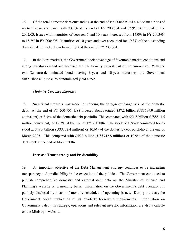16. Of the total domestic debt outstanding at the end of FY 2004/05, 74.4% had maturities of up to 5 years compared with 73.1% at the end of FY 2003/04 and 63.9% at the end of FY 2002/03. Issues with maturities of between 5 and 10 years increased from 14.0% in FY 2003/04 to 15.3% in FY 2004/05. Maturities of 10 years and over accounted for 10.3% of the outstanding domestic debt stock, down from 12.8% at the end of FY 2003/04.

17. In the Euro markets, the Government took advantage of favourable market conditions and strong investor demand and accessed the traditionally longest part of the euro-curve. With the two (2) euro-denominated bonds having 8-year and 10-year maturities, the Government established a liquid euro-denominated yield curve.

# *Minimize Currency Exposure*

18. Significant progress was made in reducing the foreign exchange risk of the domestic debt. At the end of FY 2004/05, US\$-Indexed Bonds totaled \$37.2 billion (US\$599.9 million equivalent) or 8.3%, of the domestic debt portfolio. This compared with \$51.5 billion (US\$841.5 million equivalent) or 12.3% at the end of FY 2003/04. The stock of US\$-denominated bonds stood at \$47.5 billion (US\$772.4 million) or 10.6% of the domestic debt portfolio at the end of March 2005. This compared with \$45.3 billion (US\$742.8 million) or 10.9% of the domestic debt stock at the end of March 2004.

### **Increase Transparency and Predictability**

19. An important objective of the Debt Management Strategy continues to be increasing transparency and predictability in the execution of the policies. The Government continued to publish comprehensive domestic and external debt data on the Ministry of Finance and Planning's website on a monthly basis. Information on the Government's debt operations is publicly disclosed by means of monthly schedules of upcoming issues. During the year, the Government began publication of its quarterly borrowing requirements. Information on Government's debt, its strategy, operations and relevant investor information are also available on the Ministry's website.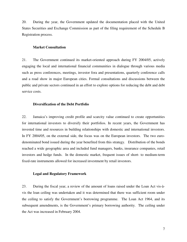20. During the year, the Government updated the documentation placed with the United States Securities and Exchange Commission as part of the filing requirement of the Schedule B Registration process.

# **Market Consultation**

21. The Government continued its market-oriented approach during FY 2004/05, actively engaging the local and international financial communities in dialogue through various media such as press conferences, meetings, investor fora and presentations, quarterly conference calls and a road show in major European cities. Formal consultations and discussions between the public and private sectors continued in an effort to explore options for reducing the debt and debt service costs.

# **Diversification of the Debt Portfolio**

22. Jamaica's improving credit profile and scarcity value continued to create opportunities for international investors to diversify their portfolios. In recent years, the Government has invested time and resources in building relationships with domestic and international investors. In FY 2004/05, on the external side, the focus was on the European investors. The two eurodenominated bond issued during the year benefited from this strategy. Distribution of the bonds reached a wide geographic area and included fund managers, banks, insurance companies, retail investors and hedge funds. In the domestic market, frequent issues of short- to medium-term fixed-rate instruments allowed for increased investment by retail investors.

#### **Legal and Regulatory Framework**

23. During the fiscal year, a review of the amount of loans raised under the Loan Act vis-àvis the loan ceiling was undertaken and it was determined that there was sufficient room under the ceiling to satisfy the Government's borrowing programme. The Loan Act 1964, and its subsequent amendments, is the Government's primary borrowing authority. The ceiling under the Act was increased in February 2004.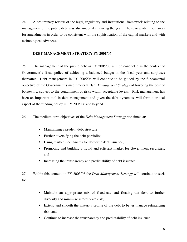24. A preliminary review of the legal, regulatory and institutional framework relating to the management of the public debt was also undertaken during the year. The review identified areas for amendments in order to be consistent with the sophistication of the capital markets and with technological advances.

# **DEBT MANAGEMENT STRATEGY FY 2005/06**

25. The management of the public debt in FY 2005/06 will be conducted in the context of Government's fiscal policy of achieving a balanced budget in the fiscal year and surpluses thereafter. Debt management in FY 2005/06 will continue to be guided by the fundamental objective of the Government's medium-term *Debt Management Strategy* of lowering the cost of borrowing, subject to the containment of risks within acceptable levels. Risk management has been an important tool in debt management and given the debt dynamics, will form a critical aspect of the funding policy in FY 2005/06 and beyond.

26. The medium-term objectives of the *Debt Management Strategy are* aimed at:

- Maintaining a prudent debt structure;
- **Further diversifying the debt portfolio;**
- Using market mechanisms for domestic debt issuance;
- Promoting and building a liquid and efficient market for Government securities; and
- Increasing the transparency and predictability of debt issuance.
- 27. Within this context, in FY 2005/06 the *Debt Management Strategy* will continue to seek to:
	- Maintain an appropriate mix of fixed-rate and floating-rate debt to further diversify and minimize interest-rate risk;
	- Extend and smooth the maturity profile of the debt to better manage refinancing risk; and
	- Continue to increase the transparency and predictability of debt issuance.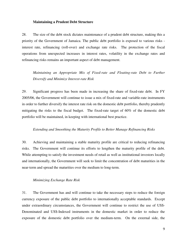#### **Maintaining a Prudent Debt Structure**

28. The size of the debt stock dictates maintenance of a prudent debt structure, making this a priority of the Government of Jamaica. The public debt portfolio is exposed to various risks interest rate, refinancing (roll-over) and exchange rate risks. The protection of the fiscal operations from unexpected increases in interest rates, volatility in the exchange rates and refinancing risks remains an important aspect of debt management.

*Maintaining an Appropriate Mix of Fixed-rate and Floating-rate Debt to Further Diversify and Minimize Interest-rate Risk*

29. Significant progress has been made in increasing the share of fixed-rate debt. In FY 2005/06, the Government will continue to issue a mix of fixed-rate and variable-rate instruments in order to further diversify the interest rate risk on the domestic debt portfolio, thereby prudently mitigating the risks to the fiscal budget. The fixed-rate target of 60% of the domestic debt portfolio will be maintained, in keeping with international best practice.

# *Extending and Smoothing the Maturity Profile to Better Manage Refinancing Risks*

30. Achieving and maintaining a stable maturity profile are critical to reducing refinancing risks. The Government will continue its efforts to lengthen the maturity profile of the debt. While attempting to satisfy the investment needs of retail as well as institutional investors locally and internationally, the Government will seek to limit the concentration of debt maturities in the near-term and spread the maturities over the medium to long-term.

## *Minimizing Exchange Rate Risk*

31. The Government has and will continue to take the necessary steps to reduce the foreign currency exposure of the public debt portfolio to internationally acceptable standards. Except under extraordinary circumstances, the Government will continue to restrict the use of US\$- Denominated and US\$-Indexed instruments in the domestic market in order to reduce the exposure of the domestic debt portfolio over the medium-term. On the external side, the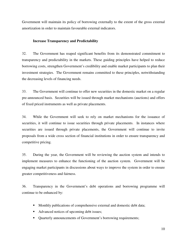Government will maintain its policy of borrowing externally to the extent of the gross external amortization in order to maintain favourable external indicators.

# **Increase Transparency and Predictability**

32. The Government has reaped significant benefits from its demonstrated commitment to transparency and predictability in the markets. These guiding principles have helped to reduce borrowing costs, strengthen Government's credibility and enable market participants to plan their investment strategies. The Government remains committed to these principles, notwithstanding the decreasing levels of financing needs.

33. The Government will continue to offer new securities in the domestic market on a regular pre-announced basis. Securities will be issued through market mechanisms (auctions) and offers of fixed priced instruments as well as private placements.

34. While the Government will seek to rely on market mechanisms for the issuance of securities, it will continue to issue securities through private placements. In instances where securities are issued through private placements, the Government will continue to invite proposals from a wide cross section of financial institutions in order to ensure transparency and competitive pricing.

35. During the year, the Government will be reviewing the auction system and intends to implement measures to enhance the functioning of the auction system. Government will be engaging market participants in discussions about ways to improve the system in order to ensure greater competitiveness and fairness.

36. Transparency in the Government's debt operations and borrowing programme will continue to be enhanced by:

- Monthly publications of comprehensive external and domestic debt data;
- Advanced notices of upcoming debt issues;
- Quarterly announcements of Government's borrowing requirements;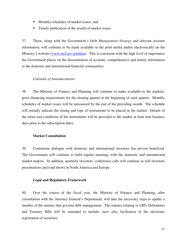- Monthly schedules of market issues; and
- **Timely publication of the results of market issues.**

37. These, along with the Government's *Debt Management Strategy* and relevant investor information, will continue to be made available in the print media and/or electronically on the Ministry's website (www.mof.gov.jm/dmu). This is consistent with the high level of importance the Government places on the dissemination of accurate, comprehensive and timely information to the domestic and international financial communities.

# *Calendar of Announcements*

38. The Ministry of Finance and Planning will continue to make available to the markets, gross financing requirements for the ensuing quarter at the beginning of each quarter. Monthly schedules of market issues will be announced by the end of the preceding month. The schedule will initially indicate the timing and type of instruments to be placed in the market. Details of the terms and conditions of the instruments will be provided to the market at least four business days prior to the subscription dates.

# **Market Consultation**

39. Continuous dialogue with domestic and international investors has proven beneficial. The Government will continue to hold regular meetings with the domestic and international market makers. In addition, quarterly investors' conference calls will continue as will investors presentations and road shows in North America and Europe.

#### **Legal and Regulatory Framework**

40. Over the course of the fiscal year, the Ministry of Finance and Planning, after consultation with the Attorney General's Department, will take the necessary steps to update a number of the statutes that governs debt management. The statutes relating to LRS, Debentures and Treasury Bills will be amended to include, *inter alia*, facilitation of the electronic registration of securities.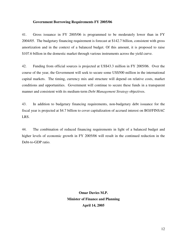# **Government Borrowing Requirements FY 2005/06**

41. Gross issuance in FY 2005/06 is programmed to be moderately lower than in FY 2004/05. The budgetary financing requirement is forecast at \$142.7 billion, consistent with gross amortization and in the context of a balanced budget. Of this amount, it is proposed to raise \$107.6 billion in the domestic market through various instruments across the yield curve.

42. Funding from official sources is projected at US\$43.3 million in FY 2005/06. Over the course of the year, the Government will seek to secure some US\$500 million in the international capital markets. The timing, currency mix and structure will depend on relative costs, market conditions and opportunities. Government will continue to secure these funds in a transparent manner and consistent with its medium-term *Debt Management Strategy* objectives.

43. In addition to budgetary financing requirements, non-budgetary debt issuance for the fiscal year is projected at \$4.7 billion to cover capitalization of accrued interest on BOJ/FINSAC LRS.

44. The combination of reduced financing requirements in light of a balanced budget and higher levels of economic growth in FY 2005/06 will result in the continued reduction in the Debt-to-GDP ratio.

> **Omar Davies M.P. Minister of Finance and Planning April 14, 2005**